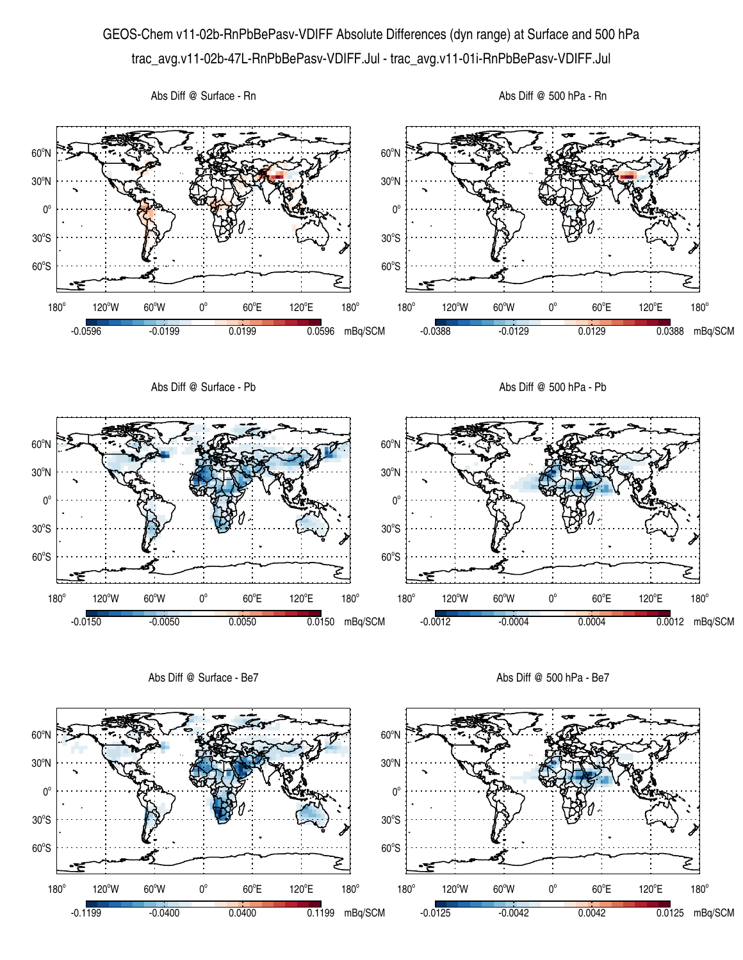## GEOS-Chem v11-02b-RnPbBePasv-VDIFF Absolute Differences (dyn range) at Surface and 500 hPa trac\_avg.v11-02b-47L-RnPbBePasv-VDIFF.Jul - trac\_avg.v11-01i-RnPbBePasv-VDIFF.Jul



Abs Diff @ Surface - Be7

Abs Diff @ 500 hPa - Be7